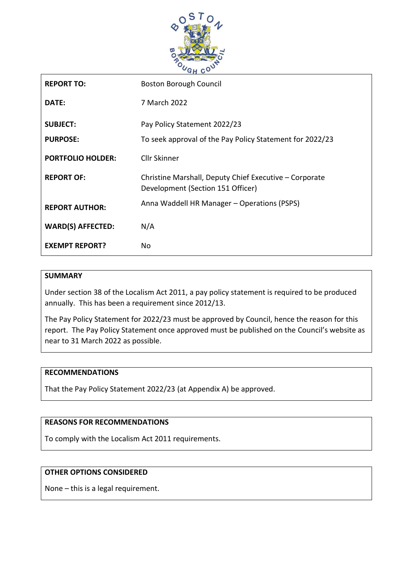

| <b>REPORT TO:</b>        | <b>Boston Borough Council</b>                                                               |
|--------------------------|---------------------------------------------------------------------------------------------|
| DATE:                    | 7 March 2022                                                                                |
| <b>SUBJECT:</b>          | Pay Policy Statement 2022/23                                                                |
| <b>PURPOSE:</b>          | To seek approval of the Pay Policy Statement for 2022/23                                    |
| <b>PORTFOLIO HOLDER:</b> | <b>Cllr Skinner</b>                                                                         |
| <b>REPORT OF:</b>        | Christine Marshall, Deputy Chief Executive - Corporate<br>Development (Section 151 Officer) |
| <b>REPORT AUTHOR:</b>    | Anna Waddell HR Manager - Operations (PSPS)                                                 |
| <b>WARD(S) AFFECTED:</b> | N/A                                                                                         |
| <b>EXEMPT REPORT?</b>    | No.                                                                                         |

#### **SUMMARY**

Under section 38 of the Localism Act 2011, a pay policy statement is required to be produced annually. This has been a requirement since 2012/13.

The Pay Policy Statement for 2022/23 must be approved by Council, hence the reason for this report. The Pay Policy Statement once approved must be published on the Council's website as near to 31 March 2022 as possible.

#### **RECOMMENDATIONS**

That the Pay Policy Statement 2022/23 (at Appendix A) be approved.

#### **REASONS FOR RECOMMENDATIONS**

To comply with the Localism Act 2011 requirements.

#### **OTHER OPTIONS CONSIDERED**

None – this is a legal requirement.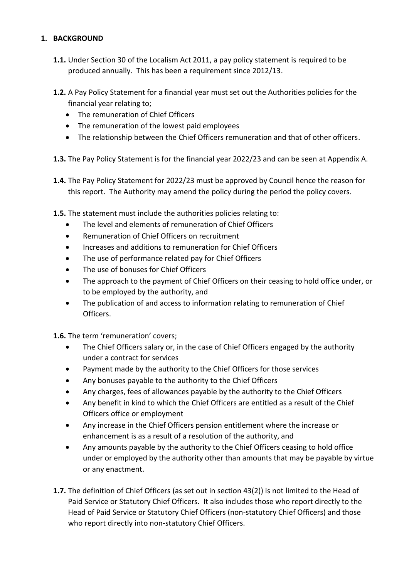## **1. BACKGROUND**

- **1.1.** Under Section 30 of the Localism Act 2011, a pay policy statement is required to be produced annually. This has been a requirement since 2012/13.
- **1.2.** A Pay Policy Statement for a financial year must set out the Authorities policies for the financial year relating to;
	- The remuneration of Chief Officers
	- The remuneration of the lowest paid employees
	- The relationship between the Chief Officers remuneration and that of other officers.
- **1.3.** The Pay Policy Statement is for the financial year 2022/23 and can be seen at Appendix A.
- **1.4.** The Pay Policy Statement for 2022/23 must be approved by Council hence the reason for this report. The Authority may amend the policy during the period the policy covers.
- **1.5.** The statement must include the authorities policies relating to:
	- The level and elements of remuneration of Chief Officers
	- Remuneration of Chief Officers on recruitment
	- Increases and additions to remuneration for Chief Officers
	- The use of performance related pay for Chief Officers
	- The use of bonuses for Chief Officers
	- The approach to the payment of Chief Officers on their ceasing to hold office under, or to be employed by the authority, and
	- The publication of and access to information relating to remuneration of Chief Officers.

**1.6.** The term 'remuneration' covers;

- The Chief Officers salary or, in the case of Chief Officers engaged by the authority under a contract for services
- Payment made by the authority to the Chief Officers for those services
- Any bonuses payable to the authority to the Chief Officers
- Any charges, fees of allowances payable by the authority to the Chief Officers
- Any benefit in kind to which the Chief Officers are entitled as a result of the Chief Officers office or employment
- Any increase in the Chief Officers pension entitlement where the increase or enhancement is as a result of a resolution of the authority, and
- Any amounts payable by the authority to the Chief Officers ceasing to hold office under or employed by the authority other than amounts that may be payable by virtue or any enactment.
- **1.7.** The definition of Chief Officers (as set out in section 43(2)) is not limited to the Head of Paid Service or Statutory Chief Officers. It also includes those who report directly to the Head of Paid Service or Statutory Chief Officers (non-statutory Chief Officers) and those who report directly into non-statutory Chief Officers.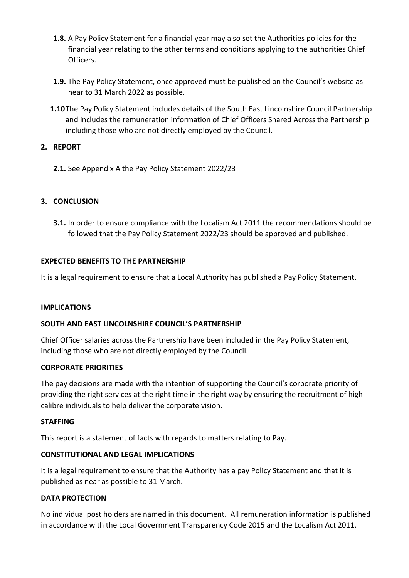- **1.8.** A Pay Policy Statement for a financial year may also set the Authorities policies for the financial year relating to the other terms and conditions applying to the authorities Chief Officers.
- **1.9.** The Pay Policy Statement, once approved must be published on the Council's website as near to 31 March 2022 as possible.
- **1.10**The Pay Policy Statement includes details of the South East Lincolnshire Council Partnership and includes the remuneration information of Chief Officers Shared Across the Partnership including those who are not directly employed by the Council.

## **2. REPORT**

**2.1.** See Appendix A the Pay Policy Statement 2022/23

## **3. CONCLUSION**

**3.1.** In order to ensure compliance with the Localism Act 2011 the recommendations should be followed that the Pay Policy Statement 2022/23 should be approved and published.

#### **EXPECTED BENEFITS TO THE PARTNERSHIP**

It is a legal requirement to ensure that a Local Authority has published a Pay Policy Statement.

#### **IMPLICATIONS**

#### **SOUTH AND EAST LINCOLNSHIRE COUNCIL'S PARTNERSHIP**

Chief Officer salaries across the Partnership have been included in the Pay Policy Statement, including those who are not directly employed by the Council.

#### **CORPORATE PRIORITIES**

The pay decisions are made with the intention of supporting the Council's corporate priority of providing the right services at the right time in the right way by ensuring the recruitment of high calibre individuals to help deliver the corporate vision.

#### **STAFFING**

This report is a statement of facts with regards to matters relating to Pay.

#### **CONSTITUTIONAL AND LEGAL IMPLICATIONS**

It is a legal requirement to ensure that the Authority has a pay Policy Statement and that it is published as near as possible to 31 March.

#### **DATA PROTECTION**

No individual post holders are named in this document. All remuneration information is published in accordance with the Local Government Transparency Code 2015 and the Localism Act 2011.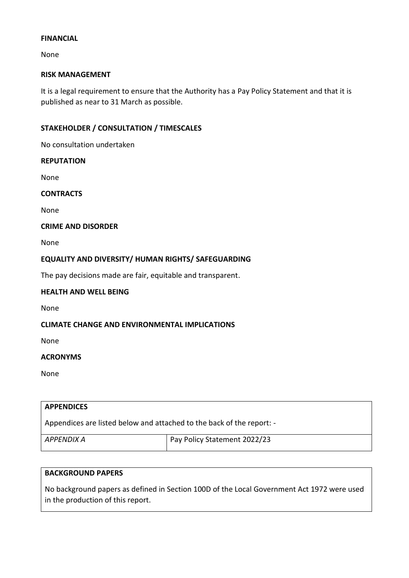#### **FINANCIAL**

None

#### **RISK MANAGEMENT**

It is a legal requirement to ensure that the Authority has a Pay Policy Statement and that it is published as near to 31 March as possible.

## **STAKEHOLDER / CONSULTATION / TIMESCALES**

No consultation undertaken

#### **REPUTATION**

None

#### **CONTRACTS**

None

#### **CRIME AND DISORDER**

None

#### **EQUALITY AND DIVERSITY/ HUMAN RIGHTS/ SAFEGUARDING**

The pay decisions made are fair, equitable and transparent.

### **HEALTH AND WELL BEING**

None

## **CLIMATE CHANGE AND ENVIRONMENTAL IMPLICATIONS**

None

#### **ACRONYMS**

None

# **APPENDICES** Appendices are listed below and attached to the back of the report: - *APPENDIX A* Pay Policy Statement 2022/23

#### **BACKGROUND PAPERS**

No background papers as defined in Section 100D of the Local Government Act 1972 were used in the production of this report.